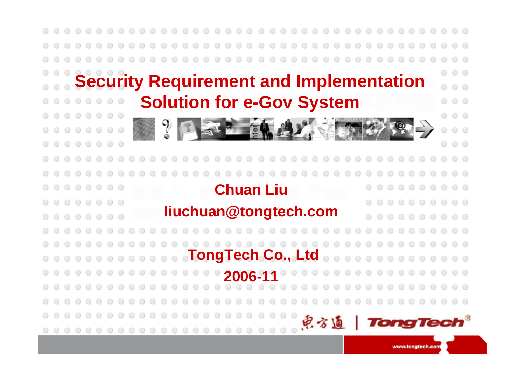

www.tongtech.com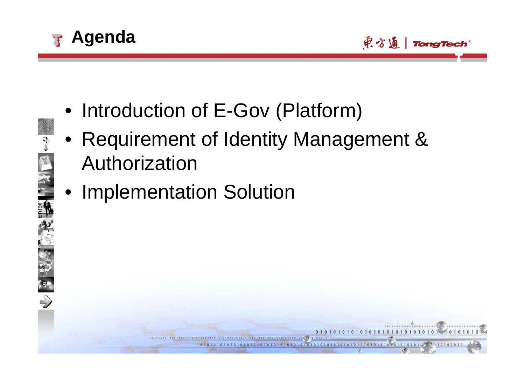



- Introduction of E-Gov (Platform)
- Requirement of Identity Management & Authorization
	- Implementation Solution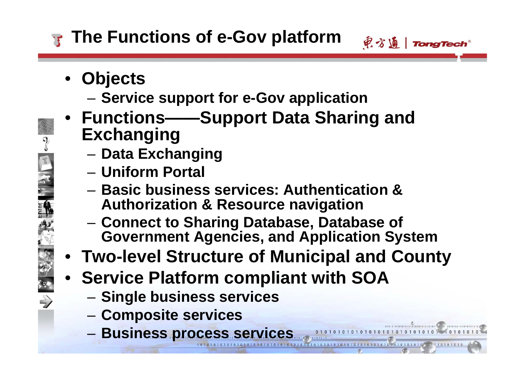# **The Functions of e-Gov platform**

- **Objects**
	- –**Service support for e-Gov application**
- **Functions——Support Data Sharing and Exchanging**
	- **Data Exchanging**
	- **Uniform Portal**
	- **Basic business services: Authentication & Authorization & Resource navigation**
	- **Connect to Sharing Database, Database of Government Agencies, and Application System**

見方通 | TongTech

- **Two-level Structure of Municipal and County**
- **Service Platform compliant with SOA**
	- **Single business services**
	- –**Composite services**
	- **Business process services**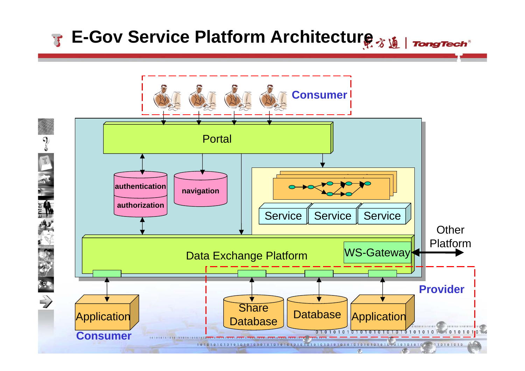# **E-Gov Service Platform Architecture**

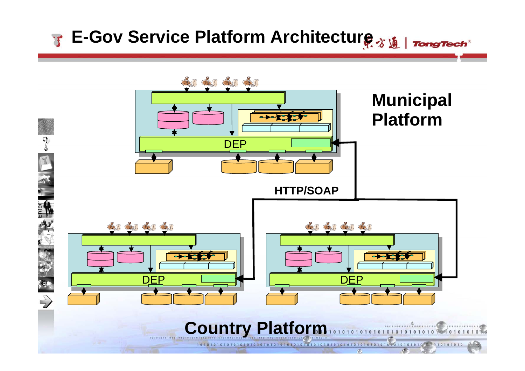### **E-Gov Service Platform Architecture**

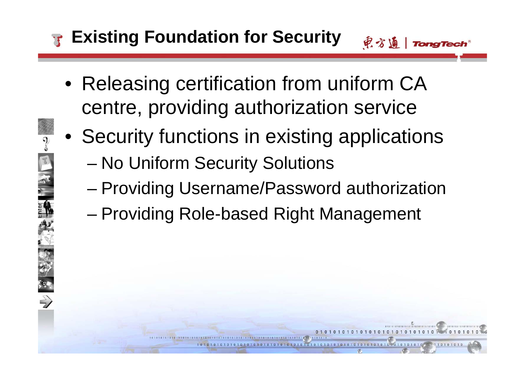# **Existing Foundation for Security**

- Releasing certification from uniform CA centre, providing authorization service
- Security functions in existing applications
	- –No Uniform Security Solutions
	- –Providing Username/Password authorization
	- –Providing Role-based Right Management

电方通 | TongTech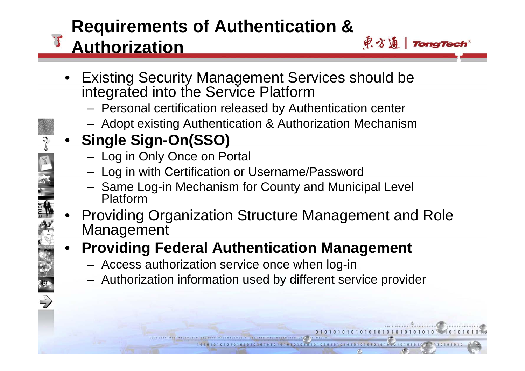#### **Requirements of Authentication &**  見方通 | TongTech **Authorization**

- Existing Security Management Services should be integrated into the Service Platform
	- Personal certification released by Authentication center
	- Adopt existing Authentication & Authorization Mechanism
- **Single Sign-On(SSO)**
	- Log in Only Once on Portal
	- Log in with Certification or Username/Password
	- Same Log-in Mechanism for County and Municipal Level Platform
	- • Providing Organization Structure Management and Role Management
	- • **Providing Federal Authentication Management**
		- Access authorization service once when log-in
		- Authorization information used by different service provider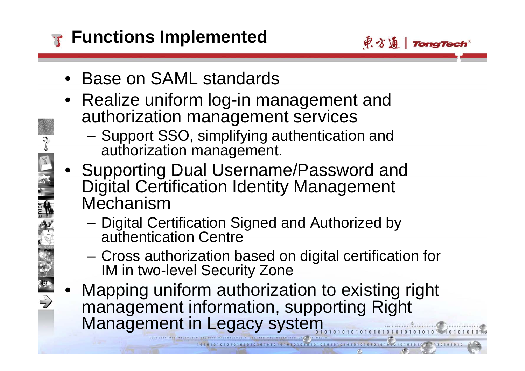

- Base on SAML standards
- Realize uniform log-in management and authorization management services
	- – Support SSO, simplifying authentication and authorization management.
- Supporting Dual Username/Password and Digital Certification Identity Management Mechanism
	- Digital Certification Signed and Authorized by authentication Centre
	- – Cross authorization based on digital certification for IM in two-level Security Zone
- • Mapping uniform authorization to existing right management information, supporting Right Management in Legacy system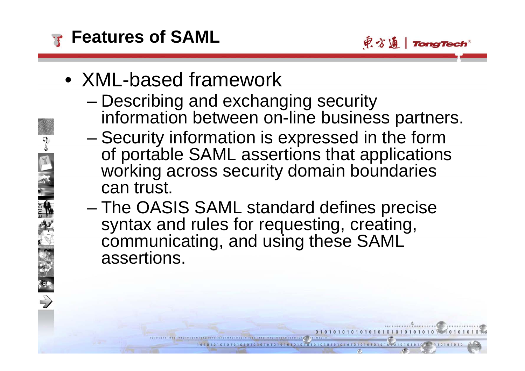

- XML-based framework
	- Describing and exchanging security information between on-line business partners.

电方通 | TongTech

- – Security information is expressed in the form of portable SAML assertions that applications working across security domain boundaries can trust.
- – The OASIS SAML standard defines precise syntax and rules for requesting, creating, communicating, and using these SAML assertions.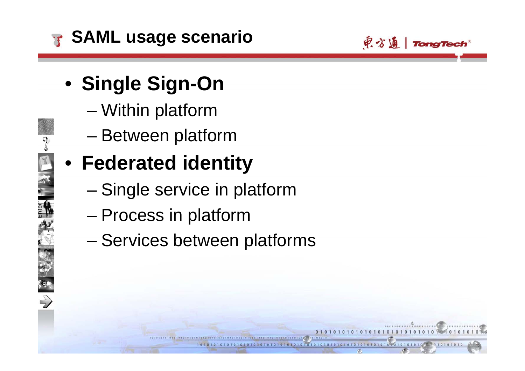

电方通 | TongTech

- **Single Sign-On**
	- –Within platform
	- –Between platform

# • **Federated identity**

- –Single service in platform
- –Process in platform
- Services between platforms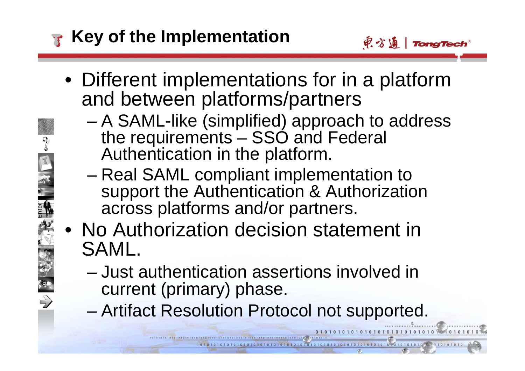# **Key of the Implementation**

- 电方通 | TongTech
- Different implementations for in a platform and between platforms/partners
	- – A SAML-like (simplified) approach to address the requirements – SSO and Federal Authentication in the platform.
	- Real SAML compliant implementation to support the Authentication & Authorization across platforms and/or partners.
- No Authorization decision statement in SAML.
	- Just authentication assertions involved in current (primary) phase.
	- –Artifact Resolution Protocol not supported.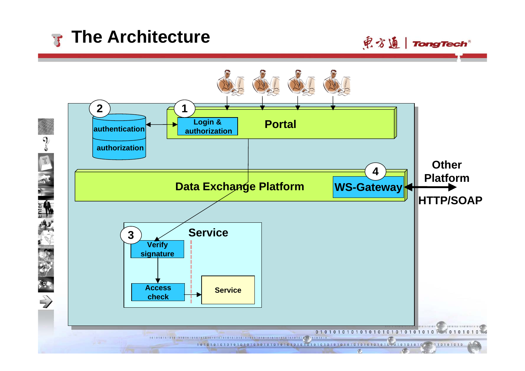# **The Architecture**



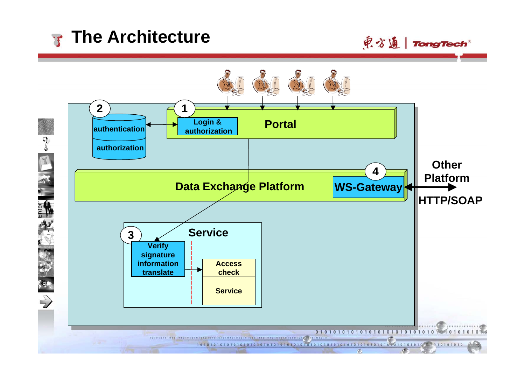# **The Architecture**



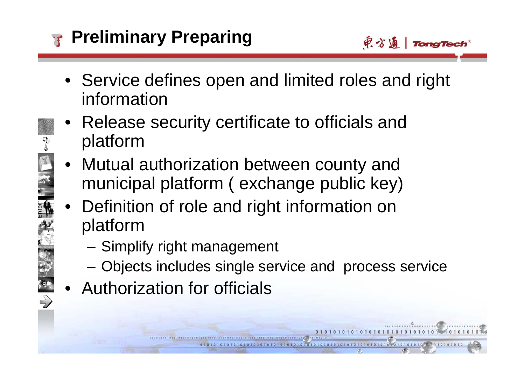

- Service defines open and limited roles and right information
- Release security certificate to officials and platform
- • Mutual authorization between county and municipal platform ( exchange public key)
- • Definition of role and right information on platform
	- –Simplify right management
	- Objects includes single service and process service
- Authorization for officials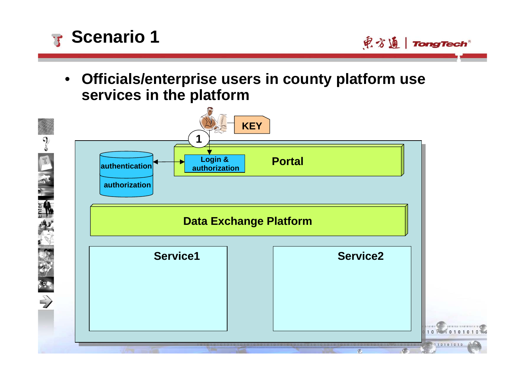

東方通 | TongTech

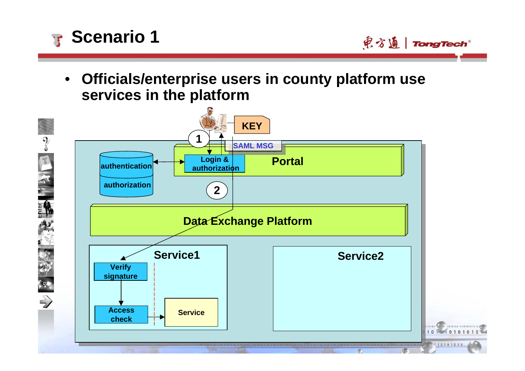

東方通 | TongTech

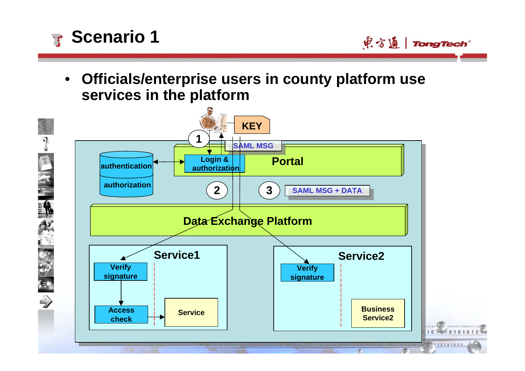

电方通 | TongTech

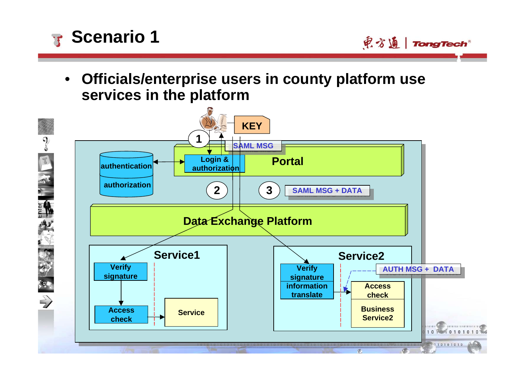

电方通 | TongTech

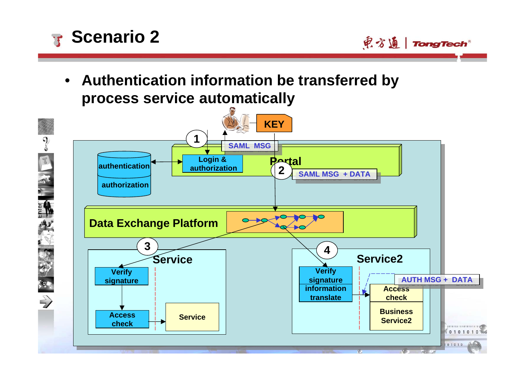

• **Authentication information be transferred by process service automatically**



电方通 | TongTech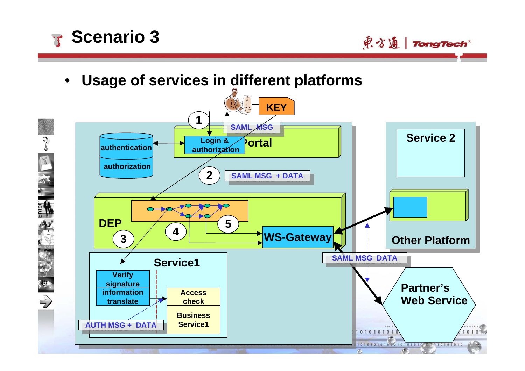

東方通 | TongTech